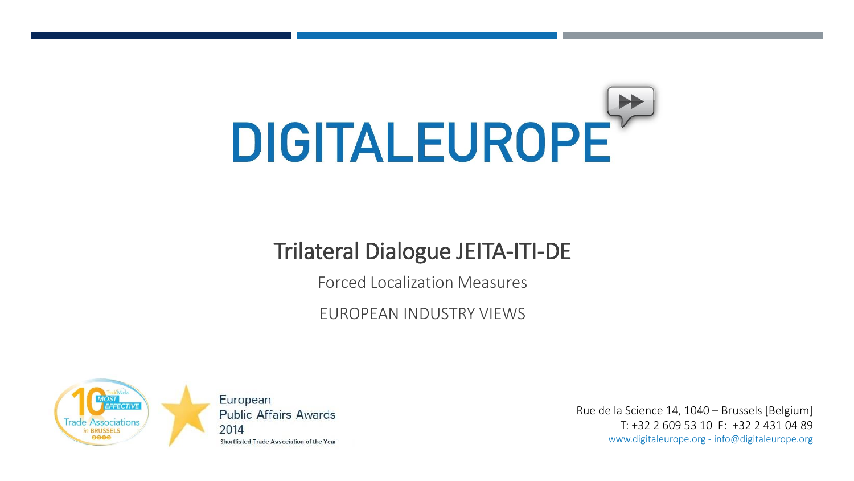# **DIGITALEUROPE**

## Trilateral Dialogue JEITA-ITI-DE

Forced Localization Measures

EUROPEAN INDUSTRY VIEWS



European **Public Affairs Awards** 2014 Shortlisted Trade Association of the Year

Rue de la Science 14, 1040 – Brussels [Belgium] T: +32 2 609 53 10 F: +32 2 431 04 89 www.digitaleurope.org - info@digitaleurope.org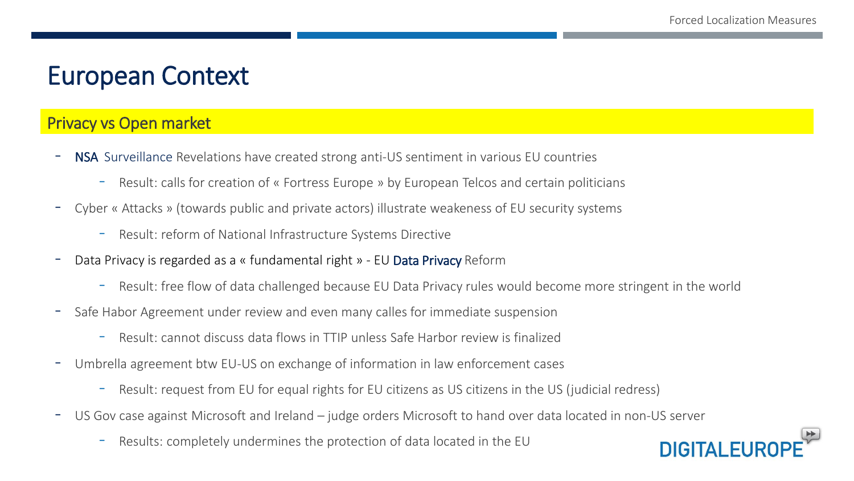## European Context

#### Privacy vs Open market

- **NSA** Surveillance Revelations have created strong anti-US sentiment in various EU countries
	- Result: calls for creation of « Fortress Europe » by European Telcos and certain politicians
- Cyber « Attacks » (towards public and private actors) illustrate weakeness of EU security systems
	- Result: reform of National Infrastructure Systems Directive
- Data Privacy is regarded as a « fundamental right » EU Data Privacy Reform
	- Result: free flow of data challenged because EU Data Privacy rules would become more stringent in the world
- Safe Habor Agreement under review and even many calles for immediate suspension
	- Result: cannot discuss data flows in TTIP unless Safe Harbor review is finalized
- Umbrella agreement btw EU-US on exchange of information in law enforcement cases
	- Result: request from EU for equal rights for EU citizens as US citizens in the US (judicial redress)
- US Gov case against Microsoft and Ireland judge orders Microsoft to hand over data located in non-US server
	- Results: completely undermines the protection of data located in the EU

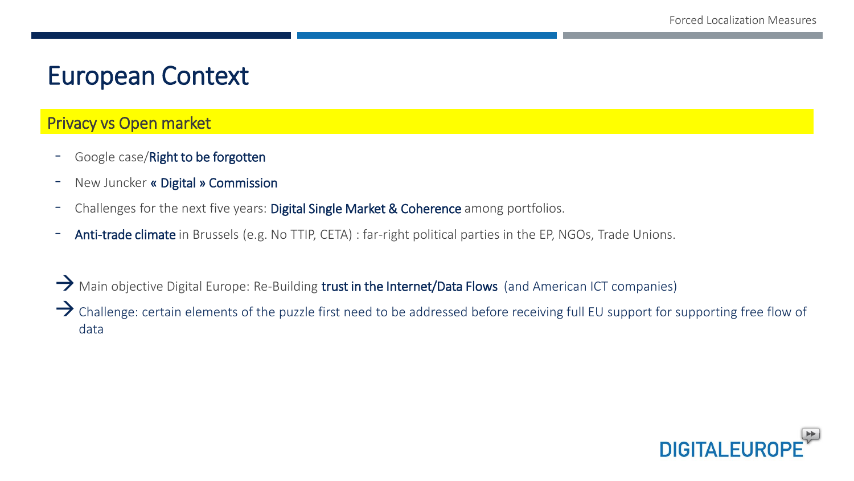## European Context

#### Privacy vs Open market

- Google case/Right to be forgotten
- New Juncker « Digital » Commission
- Challenges for the next five years: Digital Single Market & Coherence among portfolios.
- Anti-trade climate in Brussels (e.g. No TTIP, CETA) : far-right political parties in the EP, NGOs, Trade Unions.

 $\rightarrow$  Main objective Digital Europe: Re-Building trust in the Internet/Data Flows (and American ICT companies)

 $\rightarrow$  Challenge: certain elements of the puzzle first need to be addressed before receiving full EU support for supporting free flow of data

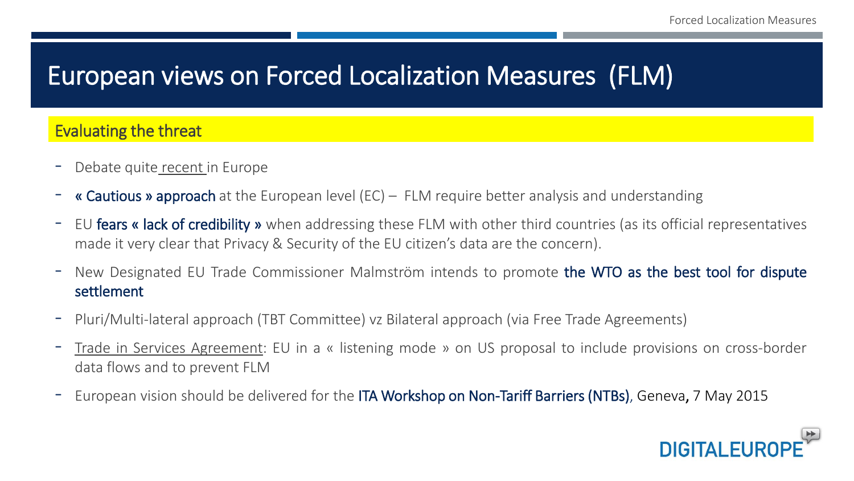## European views on Forced Localization Measures (FLM)

#### Evaluating the threat

- Debate quite recent in Europe
- **« Cautious » approach** at the European level (EC) FLM require better analysis and understanding
- EU fears « lack of credibility » when addressing these FLM with other third countries (as its official representatives made it very clear that Privacy & Security of the EU citizen's data are the concern).
- New Designated EU Trade Commissioner Malmström intends to promote the WTO as the best tool for dispute settlement
- Pluri/Multi-lateral approach (TBT Committee) vz Bilateral approach (via Free Trade Agreements)
- Trade in Services Agreement: EU in <sup>a</sup> « listening mode » on US proposal to include provisions on cross-border data flows and to prevent FLM
- European vision should be delivered for the ITA Workshop on Non-Tariff Barriers (NTBs), Geneva, 7 May 2015

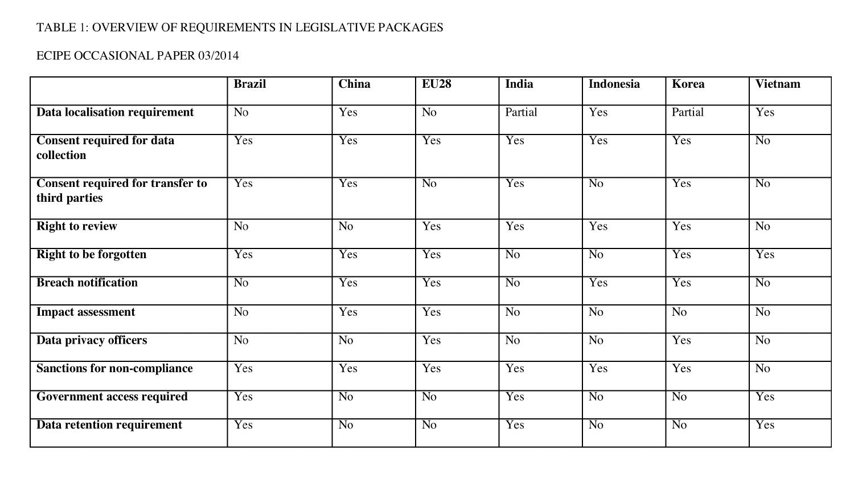#### TABLE 1: OVERVIEW OF REQUIREMENTS IN LEGISLATIVE PACKAGES

#### ECIPE OCCASIONAL PAPER 03/2014

|                                                          | <b>Brazil</b>   | <b>China</b>    | <b>EU28</b>     | India          | <b>Indonesia</b> | <b>Korea</b>   | <b>Vietnam</b>  |
|----------------------------------------------------------|-----------------|-----------------|-----------------|----------------|------------------|----------------|-----------------|
| <b>Data localisation requirement</b>                     | N <sub>o</sub>  | Yes             | N <sub>o</sub>  | Partial        | Yes              | Partial        | Yes             |
| <b>Consent required for data</b><br>collection           | Yes             | Yes             | Yes             | Yes            | Yes              | Yes            | $\overline{No}$ |
| <b>Consent required for transfer to</b><br>third parties | Yes             | Yes             | $\overline{No}$ | Yes            | $\overline{No}$  | Yes            | $\overline{No}$ |
| <b>Right to review</b>                                   | $\overline{No}$ | $\overline{No}$ | Yes             | Yes            | Yes              | Yes            | N <sub>o</sub>  |
| <b>Right to be forgotten</b>                             | Yes             | Yes             | Yes             | N <sub>o</sub> | $\overline{N_0}$ | Yes            | Yes             |
| <b>Breach notification</b>                               | N <sub>o</sub>  | Yes             | Yes             | N <sub>o</sub> | Yes              | Yes            | N <sub>o</sub>  |
| <b>Impact assessment</b>                                 | N <sub>o</sub>  | Yes             | Yes             | N <sub>o</sub> | N <sub>o</sub>   | N <sub>o</sub> | N <sub>o</sub>  |
| Data privacy officers                                    | N <sub>0</sub>  | $\overline{No}$ | Yes             | N <sub>o</sub> | N <sub>0</sub>   | Yes            | N <sub>0</sub>  |
| <b>Sanctions for non-compliance</b>                      | Yes             | Yes             | Yes             | Yes            | Yes              | Yes            | N <sub>o</sub>  |
| <b>Government access required</b>                        | Yes             | $\overline{No}$ | $\overline{No}$ | Yes            | N <sub>o</sub>   | N <sub>o</sub> | Yes             |
| Data retention requirement                               | Yes             | N <sub>o</sub>  | No              | Yes            | N <sub>o</sub>   | N <sub>o</sub> | Yes             |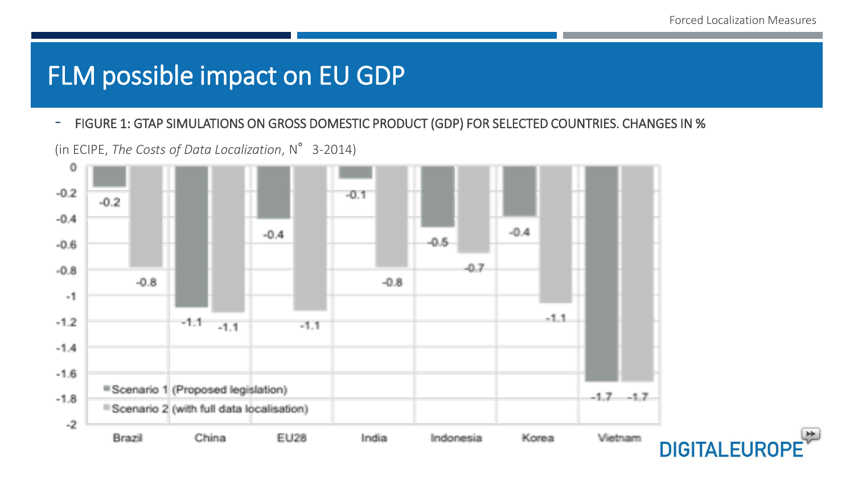## FLM possible impact on EU GDP

- FIGURE 1: GTAP SIMULATIONS ON GROSS DOMESTIC PRODUCT (GDP) FOR SELECTED COUNTRIES. CHANGES IN %

(in ECIPE, *The Costs of Data Localization*, N°3-2014)

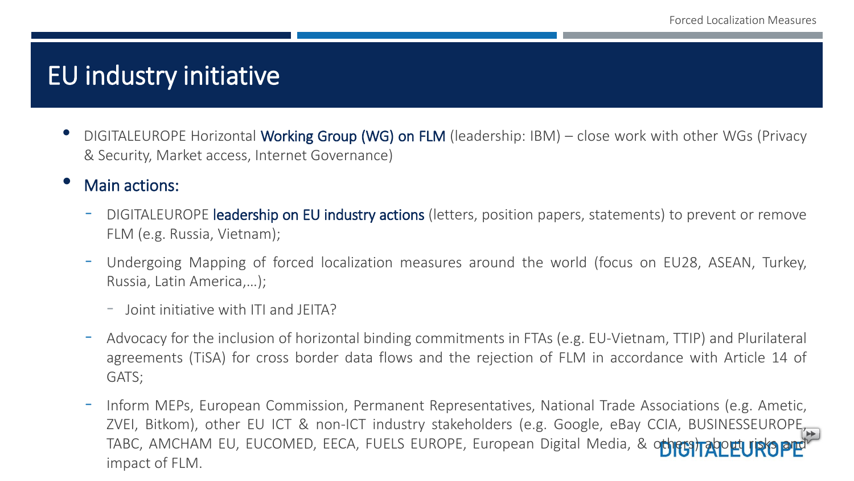### EU industry initiative

- DIGITALEUROPE Horizontal Working Group (WG) on FLM (leadership: IBM) close work with other WGs (Privacy & Security, Market access, Internet Governance)
- Main actions:
	- DIGITALEUROPE **leadership on EU industry actions** (letters, position papers, statements) to prevent or remove FLM (e.g. Russia, Vietnam);
	- Undergoing Mapping of forced localization measures around the world (focus on EU28, ASEAN, Turkey, Russia, Latin America,…);
		- Joint initiative with ITI and JEITA?
	- Advocacy for the inclusion of horizontal binding commitments in FTAs (e.g. EU-Vietnam, TTIP) and Plurilateral agreements (TiSA) for cross border data flows and the rejection of FLM in accordance with Article 14 of GATS;
	- Inform MEPs, European Commission, Permanent Representatives, National Trade Associations (e.g. Ametic, ZVEI, Bitkom), other EU ICT & non-ICT industry stakeholders (e.g. Google, eBay CCIA, BUSINESSEUROPE, TABC, AMCHAM EU, EUCOMED, EECA, FUELS EUROPE, European Digital Media, & oth impact of FLM.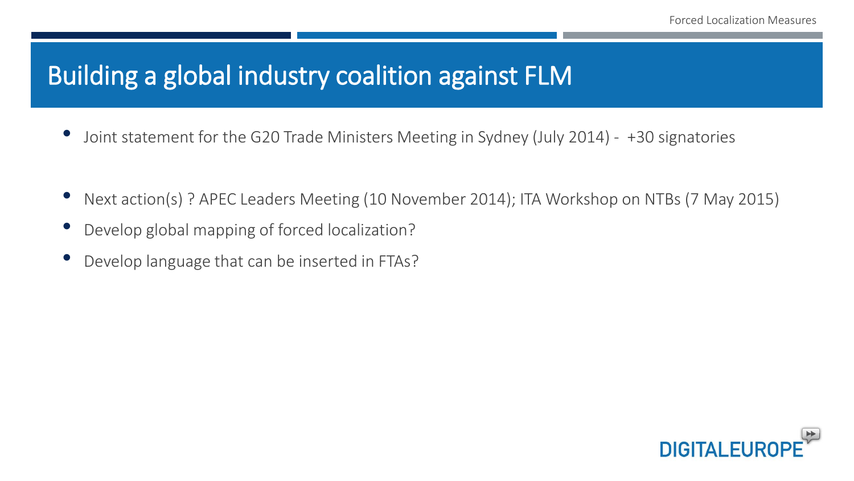## Building a global industry coalition against FLM

- Joint statement for the G20 Trade Ministers Meeting in Sydney (July 2014) +30 signatories
- Next action(s) ? APEC Leaders Meeting (10 November 2014); ITA Workshop on NTBs (7 May 2015)
- Develop global mapping of forced localization?
- Develop language that can be inserted in FTAs?

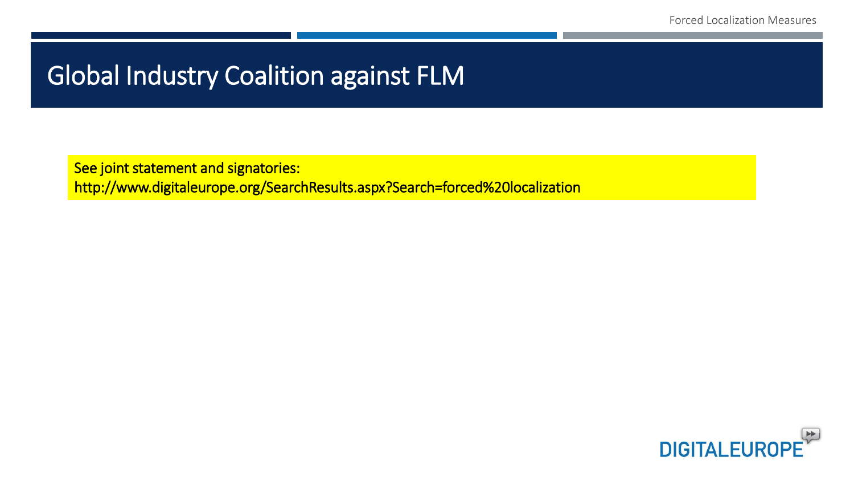## Global Industry Coalition against FLM

See joint statement and signatories: http://www.digitaleurope.org/SearchResults.aspx?Search=forced%20localization